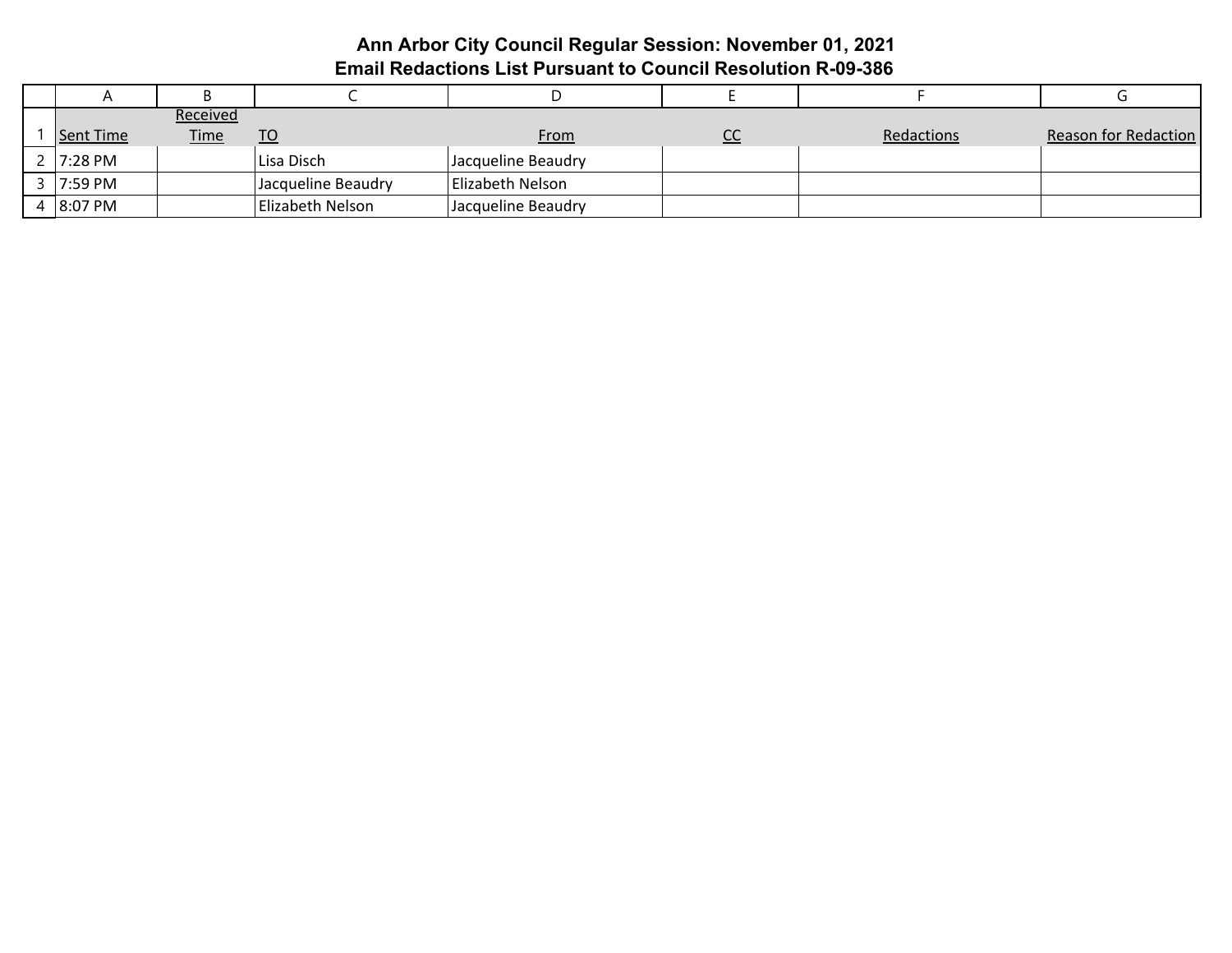# **Ann Arbor City Council Regular Session: November 01, 2021 Email Redactions List Pursuant to Council Resolution R-09-386**

|                  | Received    |                    |                    |           |            |                             |
|------------------|-------------|--------------------|--------------------|-----------|------------|-----------------------------|
| <b>Sent Time</b> | <u>Time</u> | <u>TO</u>          | <b>From</b>        | <u>uu</u> | Redactions | <b>Reason for Redaction</b> |
| 2 7:28 PM        |             | Lisa Disch         | Jacqueline Beaudry |           |            |                             |
| 3 7:59 PM        |             | Jacqueline Beaudry | Elizabeth Nelson   |           |            |                             |
| $4$ 8:07 PM      |             | Elizabeth Nelson   | Jacqueline Beaudry |           |            |                             |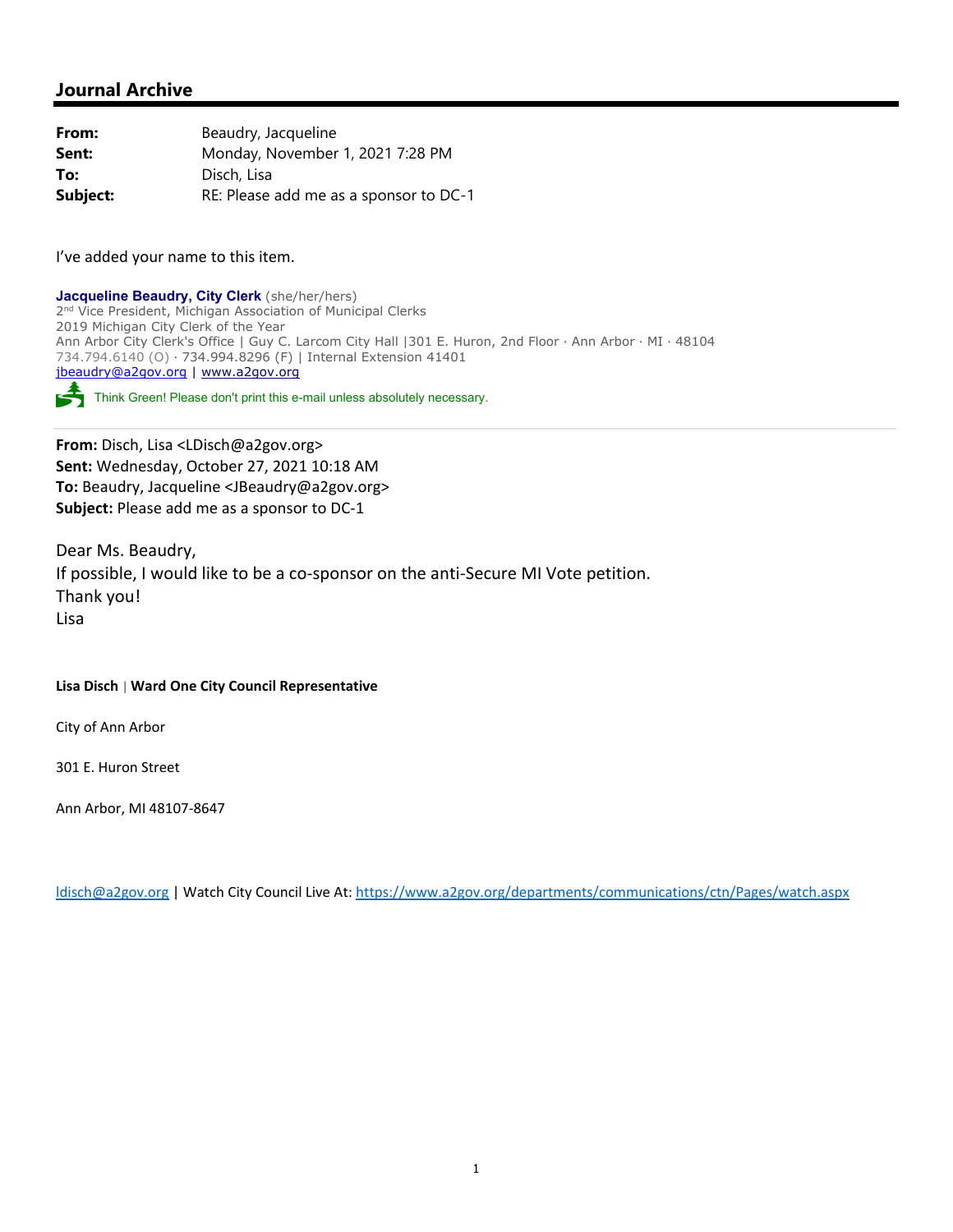### **Journal Archive**

| From:    | Beaudry, Jacqueline                    |
|----------|----------------------------------------|
| Sent:    | Monday, November 1, 2021 7:28 PM       |
| To:      | Disch, Lisa                            |
| Subject: | RE: Please add me as a sponsor to DC-1 |

I've added your name to this item.

**Jacqueline Beaudry, City Clerk** (she/her/hers) 2<sup>nd</sup> Vice President, Michigan Association of Municipal Clerks 2019 Michigan City Clerk of the Year Ann Arbor City Clerk's Office | Guy C. Larcom City Hall |301 E. Huron, 2nd Floor ∙ Ann Arbor ∙ MI ∙ 48104 734.794.6140 (O) ∙ 734.994.8296 (F) | Internal Extension 41401 jbeaudry@a2gov.org | www.a2gov.org Think Green! Please don't print this e-mail unless absolutely necessary.

**From:** Disch, Lisa <LDisch@a2gov.org> **Sent:** Wednesday, October 27, 2021 10:18 AM **To:** Beaudry, Jacqueline <JBeaudry@a2gov.org> **Subject:** Please add me as a sponsor to DC‐1

Dear Ms. Beaudry, If possible, I would like to be a co‐sponsor on the anti‐Secure MI Vote petition. Thank you! Lisa

#### **Lisa Disch** | **Ward One City Council Representative**

City of Ann Arbor

301 E. Huron Street

Ann Arbor, MI 48107‐8647

ldisch@a2gov.org | Watch City Council Live At: https://www.a2gov.org/departments/communications/ctn/Pages/watch.aspx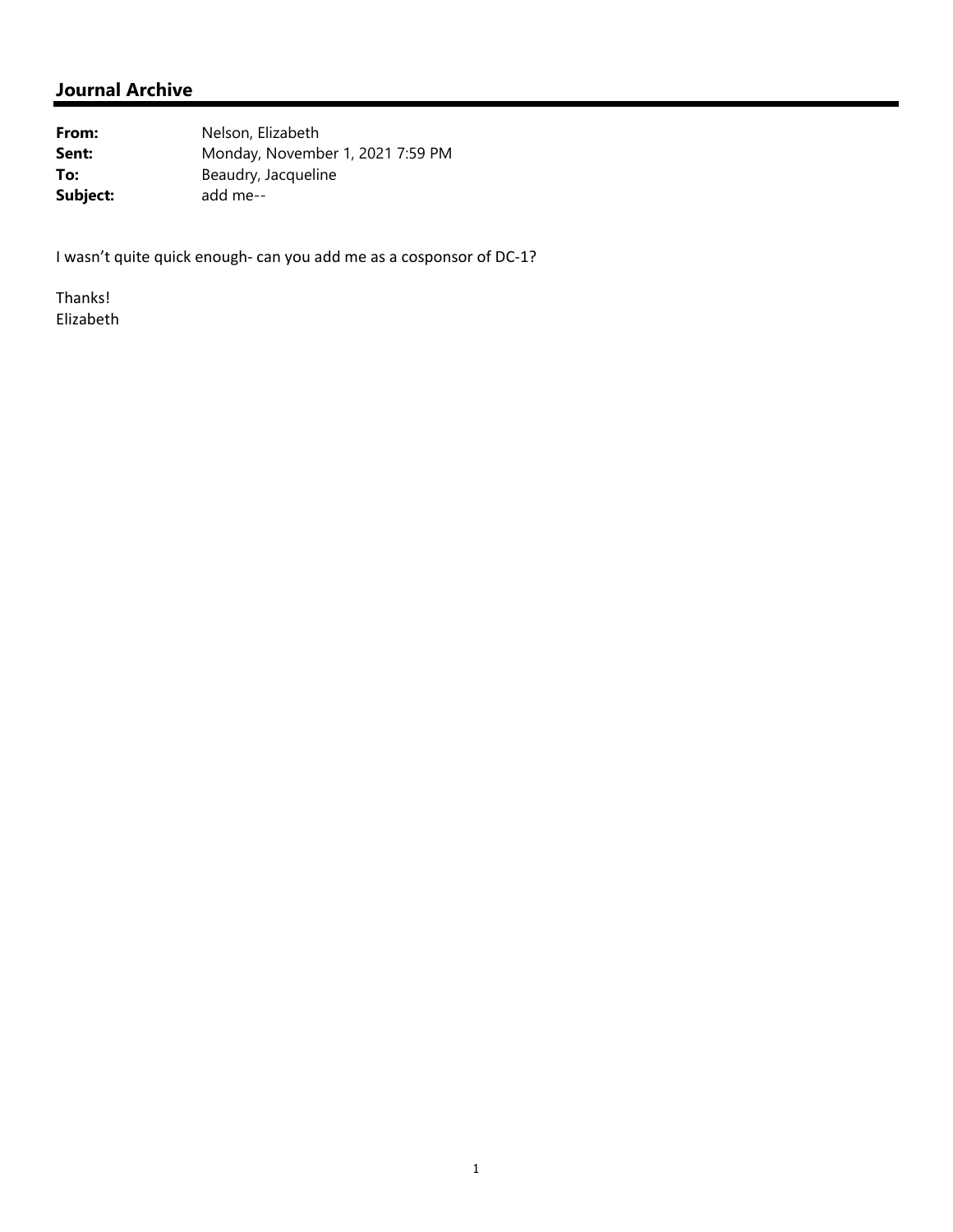# **Journal Archive**

From: Nelson, Elizabeth **Sent:** Monday, November 1, 2021 7:59 PM **To:** Beaudry, Jacqueline **Subject:** add me--

I wasn't quite quick enough‐ can you add me as a cosponsor of DC‐1?

Thanks! Elizabeth